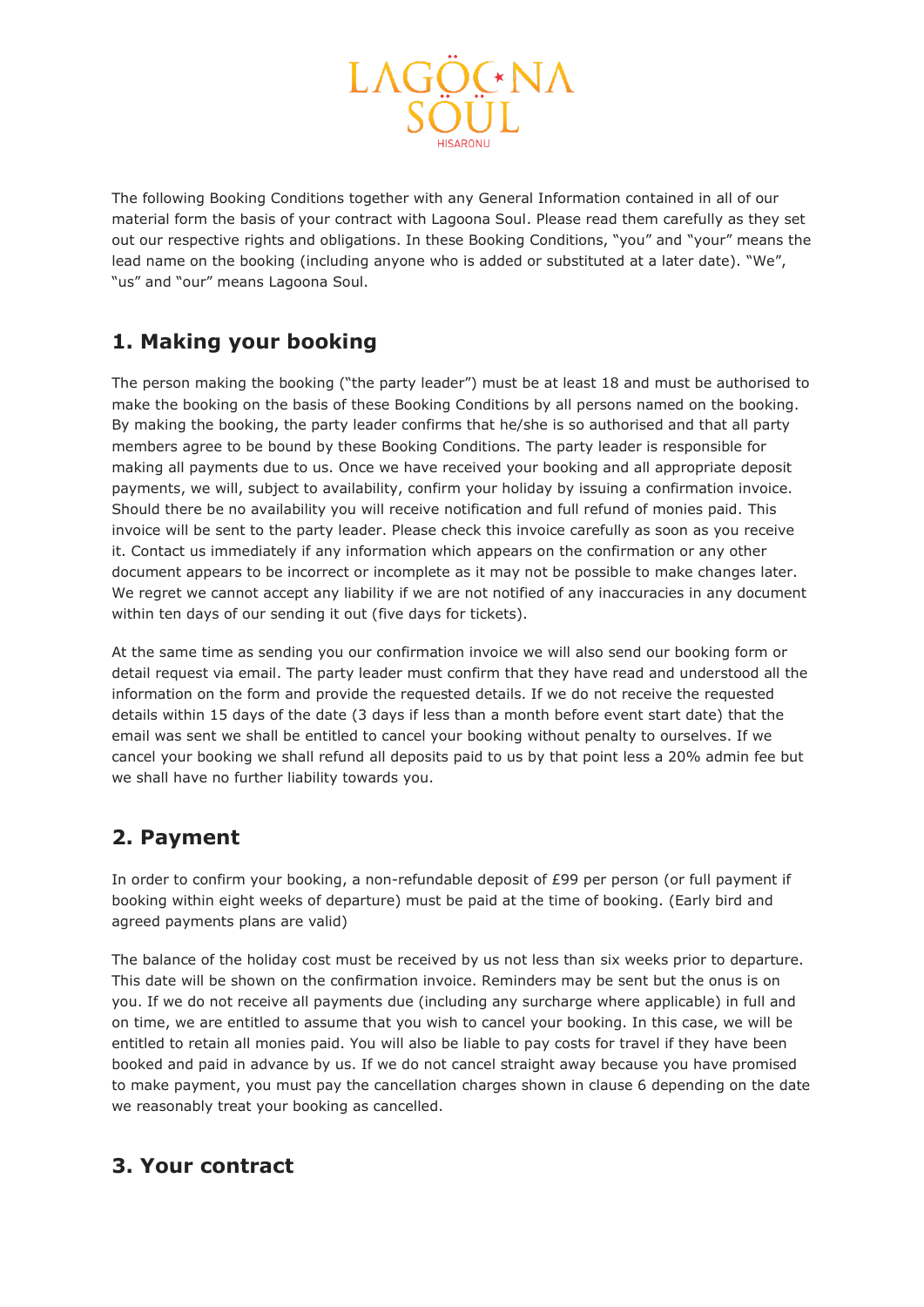

The following Booking Conditions together with any General Information contained in all of our material form the basis of your contract with Lagoona Soul. Please read them carefully as they set out our respective rights and obligations. In these Booking Conditions, "you" and "your" means the lead name on the booking (including anyone who is added or substituted at a later date). "We", "us" and "our" means Lagoona Soul.

### **1. Making your booking**

The person making the booking ("the party leader") must be at least 18 and must be authorised to make the booking on the basis of these Booking Conditions by all persons named on the booking. By making the booking, the party leader confirms that he/she is so authorised and that all party members agree to be bound by these Booking Conditions. The party leader is responsible for making all payments due to us. Once we have received your booking and all appropriate deposit payments, we will, subject to availability, confirm your holiday by issuing a confirmation invoice. Should there be no availability you will receive notification and full refund of monies paid. This invoice will be sent to the party leader. Please check this invoice carefully as soon as you receive it. Contact us immediately if any information which appears on the confirmation or any other document appears to be incorrect or incomplete as it may not be possible to make changes later. We regret we cannot accept any liability if we are not notified of any inaccuracies in any document within ten days of our sending it out (five days for tickets).

At the same time as sending you our confirmation invoice we will also send our booking form or detail request via email. The party leader must confirm that they have read and understood all the information on the form and provide the requested details. If we do not receive the requested details within 15 days of the date (3 days if less than a month before event start date) that the email was sent we shall be entitled to cancel your booking without penalty to ourselves. If we cancel your booking we shall refund all deposits paid to us by that point less a 20% admin fee but we shall have no further liability towards you.

### **2. Payment**

In order to confirm your booking, a non-refundable deposit of £99 per person (or full payment if booking within eight weeks of departure) must be paid at the time of booking. (Early bird and agreed payments plans are valid)

The balance of the holiday cost must be received by us not less than six weeks prior to departure. This date will be shown on the confirmation invoice. Reminders may be sent but the onus is on you. If we do not receive all payments due (including any surcharge where applicable) in full and on time, we are entitled to assume that you wish to cancel your booking. In this case, we will be entitled to retain all monies paid. You will also be liable to pay costs for travel if they have been booked and paid in advance by us. If we do not cancel straight away because you have promised to make payment, you must pay the cancellation charges shown in clause 6 depending on the date we reasonably treat your booking as cancelled.

### **3. Your contract**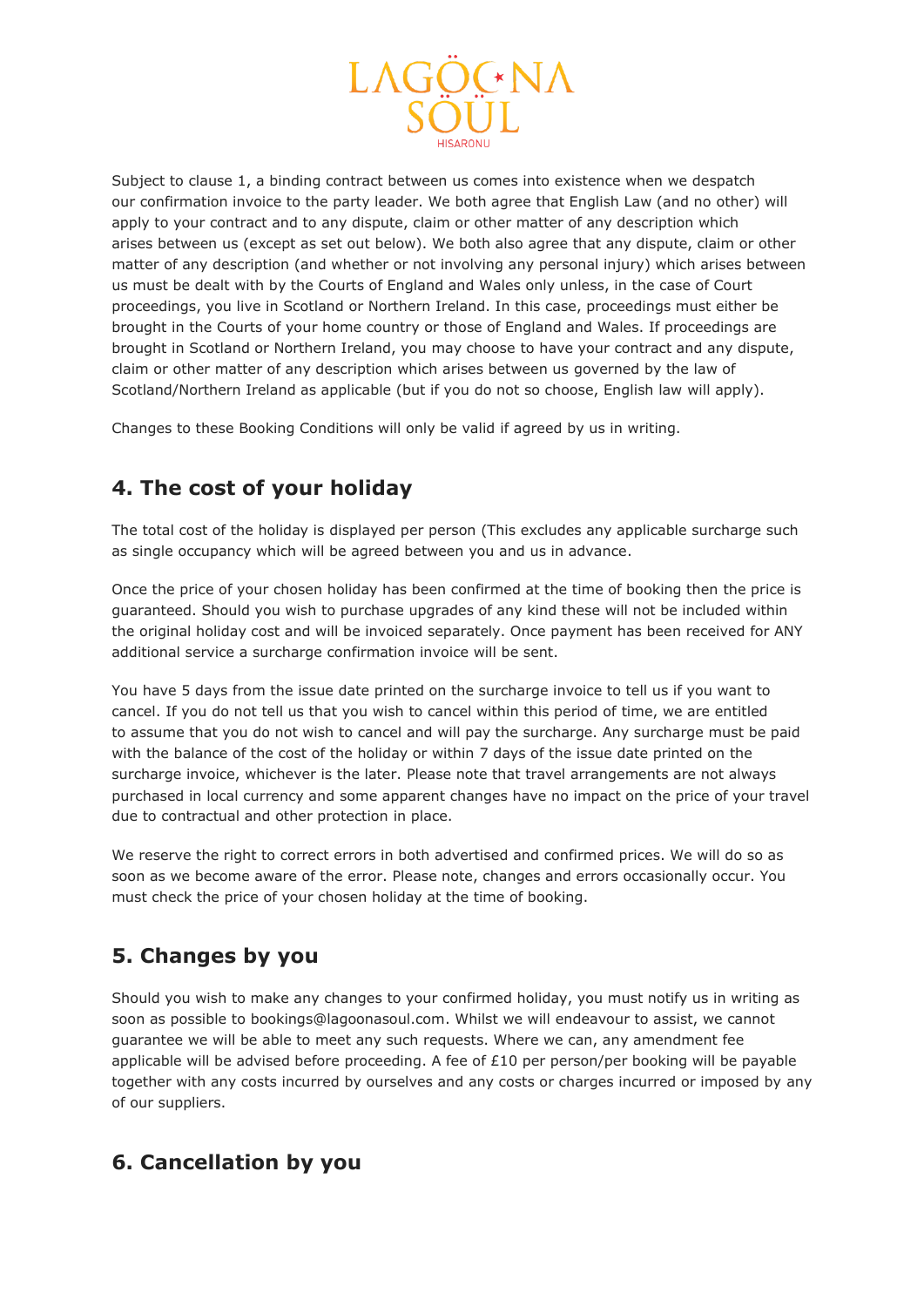

Subject to clause 1, a binding contract between us comes into existence when we despatch our confirmation invoice to the party leader. We both agree that English Law (and no other) will apply to your contract and to any dispute, claim or other matter of any description which arises between us (except as set out below). We both also agree that any dispute, claim or other matter of any description (and whether or not involving any personal injury) which arises between us must be dealt with by the Courts of England and Wales only unless, in the case of Court proceedings, you live in Scotland or Northern Ireland. In this case, proceedings must either be brought in the Courts of your home country or those of England and Wales. If proceedings are brought in Scotland or Northern Ireland, you may choose to have your contract and any dispute, claim or other matter of any description which arises between us governed by the law of Scotland/Northern Ireland as applicable (but if you do not so choose, English law will apply).

Changes to these Booking Conditions will only be valid if agreed by us in writing.

## **4. The cost of your holiday**

The total cost of the holiday is displayed per person (This excludes any applicable surcharge such as single occupancy which will be agreed between you and us in advance.

Once the price of your chosen holiday has been confirmed at the time of booking then the price is guaranteed. Should you wish to purchase upgrades of any kind these will not be included within the original holiday cost and will be invoiced separately. Once payment has been received for ANY additional service a surcharge confirmation invoice will be sent.

You have 5 days from the issue date printed on the surcharge invoice to tell us if you want to cancel. If you do not tell us that you wish to cancel within this period of time, we are entitled to assume that you do not wish to cancel and will pay the surcharge. Any surcharge must be paid with the balance of the cost of the holiday or within 7 days of the issue date printed on the surcharge invoice, whichever is the later. Please note that travel arrangements are not always purchased in local currency and some apparent changes have no impact on the price of your travel due to contractual and other protection in place.

We reserve the right to correct errors in both advertised and confirmed prices. We will do so as soon as we become aware of the error. Please note, changes and errors occasionally occur. You must check the price of your chosen holiday at the time of booking.

### **5. Changes by you**

Should you wish to make any changes to your confirmed holiday, you must notify us in writing as soon as possible to bookings@lagoonasoul.com. Whilst we will endeavour to assist, we cannot guarantee we will be able to meet any such requests. Where we can, any amendment fee applicable will be advised before proceeding. A fee of £10 per person/per booking will be payable together with any costs incurred by ourselves and any costs or charges incurred or imposed by any of our suppliers.

### **6. Cancellation by you**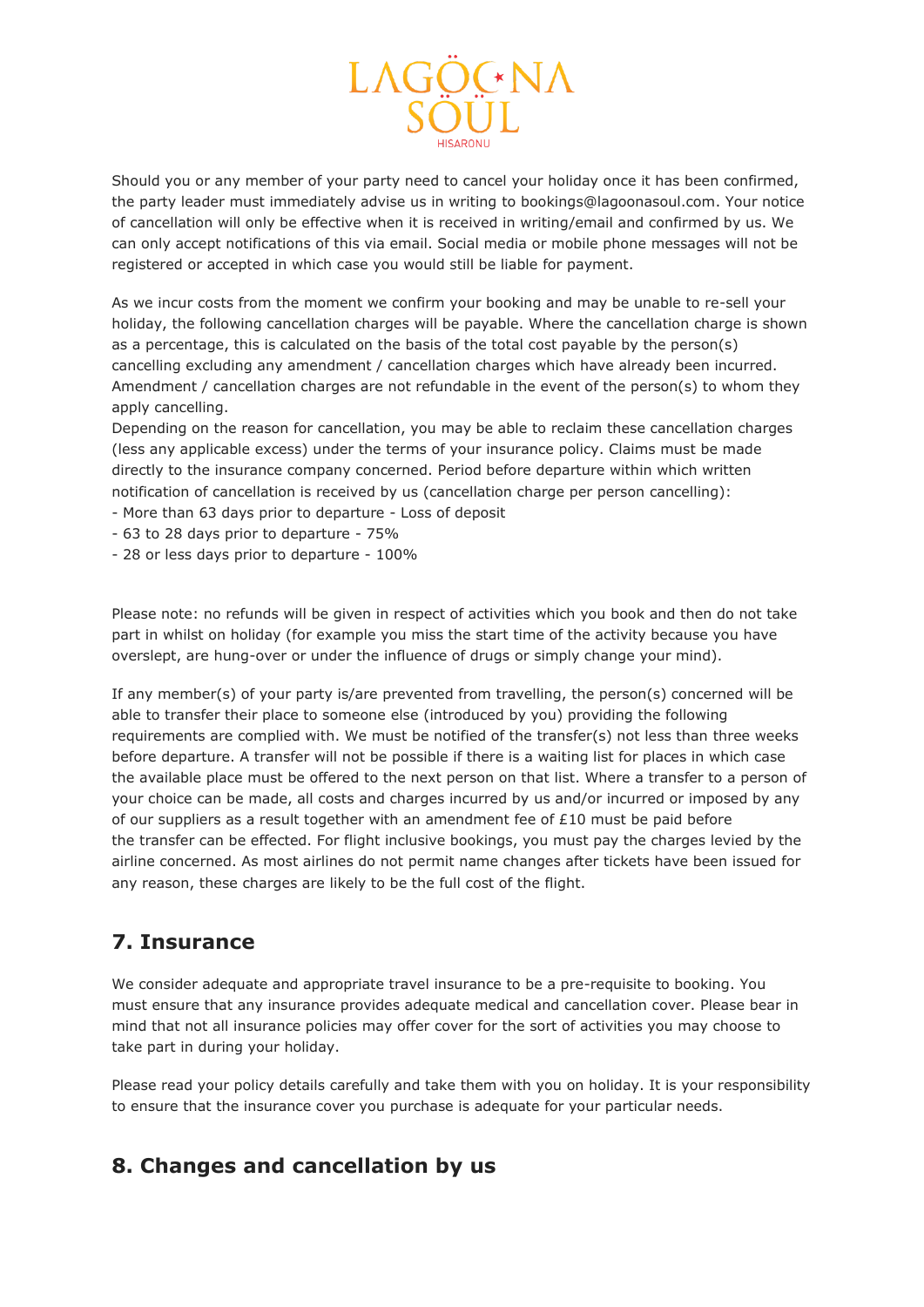

Should you or any member of your party need to cancel your holiday once it has been confirmed, the party leader must immediately advise us in writing to bookings@lagoonasoul.com. Your notice of cancellation will only be effective when it is received in writing/email and confirmed by us. We can only accept notifications of this via email. Social media or mobile phone messages will not be registered or accepted in which case you would still be liable for payment.

As we incur costs from the moment we confirm your booking and may be unable to re-sell your holiday, the following cancellation charges will be payable. Where the cancellation charge is shown as a percentage, this is calculated on the basis of the total cost payable by the person(s) cancelling excluding any amendment / cancellation charges which have already been incurred. Amendment / cancellation charges are not refundable in the event of the person(s) to whom they apply cancelling.

Depending on the reason for cancellation, you may be able to reclaim these cancellation charges (less any applicable excess) under the terms of your insurance policy. Claims must be made directly to the insurance company concerned. Period before departure within which written notification of cancellation is received by us (cancellation charge per person cancelling):

- More than 63 days prior to departure Loss of deposit
- 63 to 28 days prior to departure 75%
- 28 or less days prior to departure 100%

Please note: no refunds will be given in respect of activities which you book and then do not take part in whilst on holiday (for example you miss the start time of the activity because you have overslept, are hung-over or under the influence of drugs or simply change your mind).

If any member(s) of your party is/are prevented from travelling, the person(s) concerned will be able to transfer their place to someone else (introduced by you) providing the following requirements are complied with. We must be notified of the transfer(s) not less than three weeks before departure. A transfer will not be possible if there is a waiting list for places in which case the available place must be offered to the next person on that list. Where a transfer to a person of your choice can be made, all costs and charges incurred by us and/or incurred or imposed by any of our suppliers as a result together with an amendment fee of  $£10$  must be paid before the transfer can be effected. For flight inclusive bookings, you must pay the charges levied by the airline concerned. As most airlines do not permit name changes after tickets have been issued for any reason, these charges are likely to be the full cost of the flight.

#### **7. Insurance**

We consider adequate and appropriate travel insurance to be a pre-requisite to booking. You must ensure that any insurance provides adequate medical and cancellation cover. Please bear in mind that not all insurance policies may offer cover for the sort of activities you may choose to take part in during your holiday.

Please read your policy details carefully and take them with you on holiday. It is your responsibility to ensure that the insurance cover you purchase is adequate for your particular needs.

### **8. Changes and cancellation by us**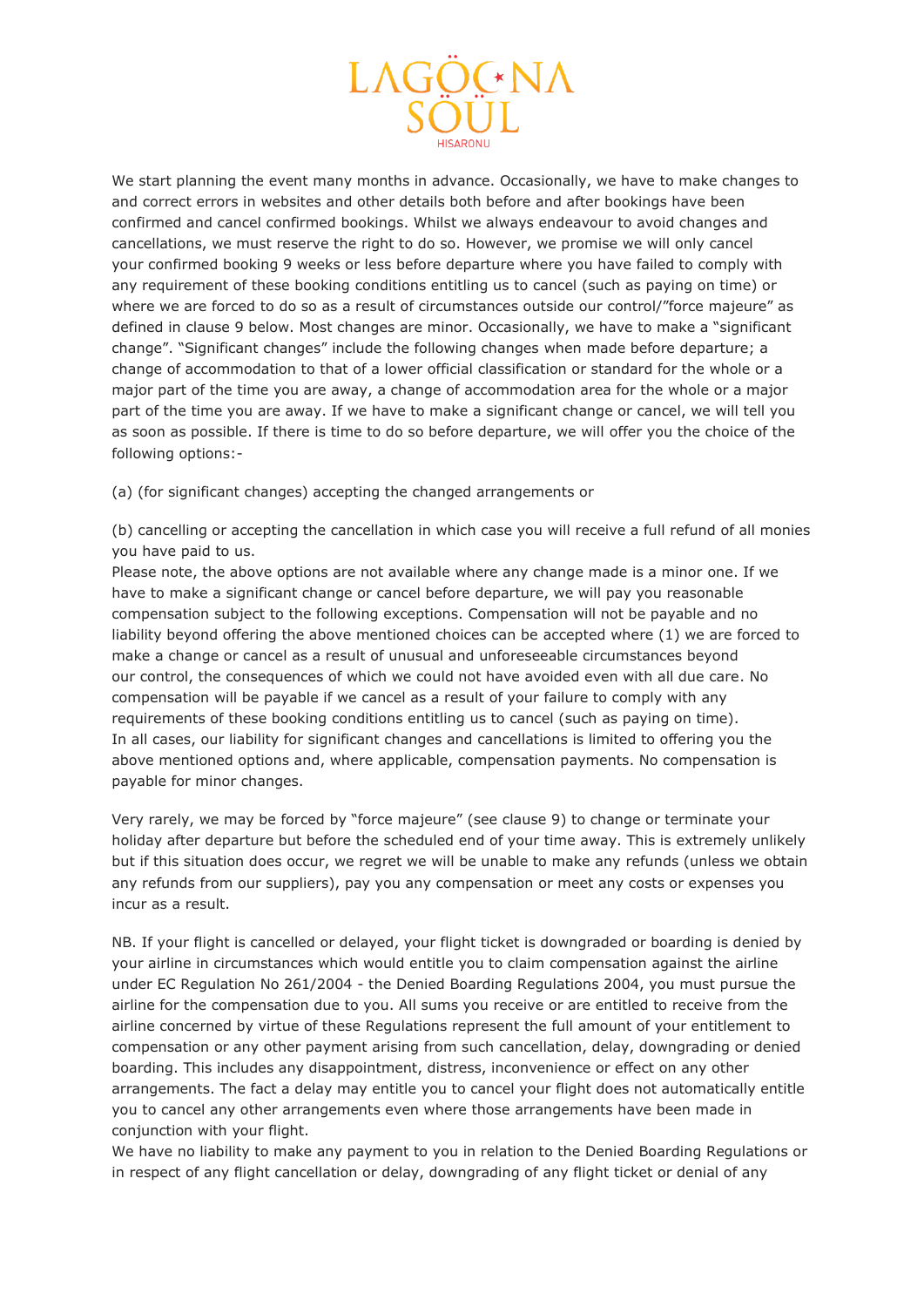

We start planning the event many months in advance. Occasionally, we have to make changes to and correct errors in websites and other details both before and after bookings have been confirmed and cancel confirmed bookings. Whilst we always endeavour to avoid changes and cancellations, we must reserve the right to do so. However, we promise we will only cancel your confirmed booking 9 weeks or less before departure where you have failed to comply with any requirement of these booking conditions entitling us to cancel (such as paying on time) or where we are forced to do so as a result of circumstances outside our control/"force majeure" as defined in clause 9 below. Most changes are minor. Occasionally, we have to make a "significant change". "Significant changes" include the following changes when made before departure; a change of accommodation to that of a lower official classification or standard for the whole or a major part of the time you are away, a change of accommodation area for the whole or a major part of the time you are away. If we have to make a significant change or cancel, we will tell you as soon as possible. If there is time to do so before departure, we will offer you the choice of the following options:-

(a) (for significant changes) accepting the changed arrangements or

(b) cancelling or accepting the cancellation in which case you will receive a full refund of all monies you have paid to us.

Please note, the above options are not available where any change made is a minor one. If we have to make a significant change or cancel before departure, we will pay you reasonable compensation subject to the following exceptions. Compensation will not be payable and no liability beyond offering the above mentioned choices can be accepted where (1) we are forced to make a change or cancel as a result of unusual and unforeseeable circumstances beyond our control, the consequences of which we could not have avoided even with all due care. No compensation will be payable if we cancel as a result of your failure to comply with any requirements of these booking conditions entitling us to cancel (such as paying on time). In all cases, our liability for significant changes and cancellations is limited to offering you the above mentioned options and, where applicable, compensation payments. No compensation is payable for minor changes.

Very rarely, we may be forced by "force majeure" (see clause 9) to change or terminate your holiday after departure but before the scheduled end of your time away. This is extremely unlikely but if this situation does occur, we regret we will be unable to make any refunds (unless we obtain any refunds from our suppliers), pay you any compensation or meet any costs or expenses you incur as a result.

NB. If your flight is cancelled or delayed, your flight ticket is downgraded or boarding is denied by your airline in circumstances which would entitle you to claim compensation against the airline under EC Regulation No 261/2004 - the Denied Boarding Regulations 2004, you must pursue the airline for the compensation due to you. All sums you receive or are entitled to receive from the airline concerned by virtue of these Regulations represent the full amount of your entitlement to compensation or any other payment arising from such cancellation, delay, downgrading or denied boarding. This includes any disappointment, distress, inconvenience or effect on any other arrangements. The fact a delay may entitle you to cancel your flight does not automatically entitle you to cancel any other arrangements even where those arrangements have been made in conjunction with your flight.

We have no liability to make any payment to you in relation to the Denied Boarding Regulations or in respect of any flight cancellation or delay, downgrading of any flight ticket or denial of any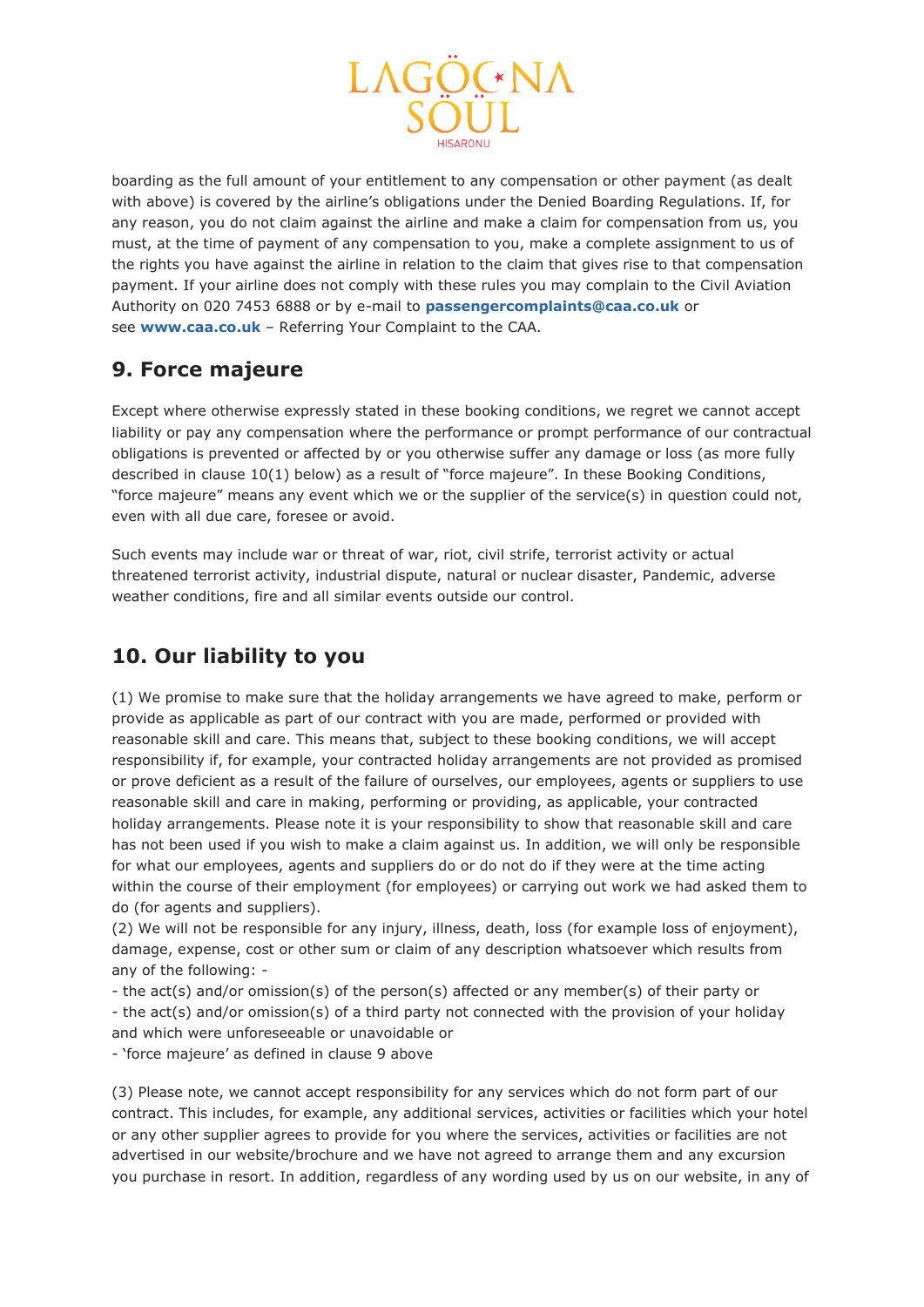

boarding as the full amount of your entitlement to any compensation or other payment (as dealt with above) is covered by the airline's obligations under the Denied Boarding Regulations. If, for any reason, you do not claim against the airline and make a claim for compensation from us, you must, at the time of payment of any compensation to you, make a complete assignment to us of the rights you have against the airline in relation to the claim that gives rise to that compensation payment. If your airline does not comply with these rules you may complain to the Civil Aviation Authority on 020 7453 6888 or by e-mail to **[passengercomplaints@caa.co.uk](javascript:location.href=)** or see **[www.caa.co.uk](http://www.caa.co.uk/)** – Referring Your Complaint to the CAA.

## **9. Force majeure**

Except where otherwise expressly stated in these booking conditions, we regret we cannot accept liability or pay any compensation where the performance or prompt performance of our contractual obligations is prevented or affected by or you otherwise suffer any damage or loss (as more fully described in clause 10(1) below) as a result of "force majeure". In these Booking Conditions, "force majeure" means any event which we or the supplier of the service(s) in question could not, even with all due care, foresee or avoid.

Such events may include war or threat of war, riot, civil strife, terrorist activity or actual threatened terrorist activity, industrial dispute, natural or nuclear disaster, Pandemic, adverse weather conditions, fire and all similar events outside our control.

# **10. Our liability to you**

(1) We promise to make sure that the holiday arrangements we have agreed to make, perform or provide as applicable as part of our contract with you are made, performed or provided with reasonable skill and care. This means that, subject to these booking conditions, we will accept responsibility if, for example, your contracted holiday arrangements are not provided as promised or prove deficient as a result of the failure of ourselves, our employees, agents or suppliers to use reasonable skill and care in making, performing or providing, as applicable, your contracted holiday arrangements. Please note it is your responsibility to show that reasonable skill and care has not been used if you wish to make a claim against us. In addition, we will only be responsible for what our employees, agents and suppliers do or do not do if they were at the time acting within the course of their employment (for employees) or carrying out work we had asked them to do (for agents and suppliers).

(2) We will not be responsible for any injury, illness, death, loss (for example loss of enjoyment), damage, expense, cost or other sum or claim of any description whatsoever which results from any of the following: -

- the act(s) and/or omission(s) of the person(s) affected or any member(s) of their party or - the act(s) and/or omission(s) of a third party not connected with the provision of your holiday and which were unforeseeable or unavoidable or

- 'force majeure' as defined in clause 9 above

(3) Please note, we cannot accept responsibility for any services which do not form part of our contract. This includes, for example, any additional services, activities or facilities which your hotel or any other supplier agrees to provide for you where the services, activities or facilities are not advertised in our website/brochure and we have not agreed to arrange them and any excursion you purchase in resort. In addition, regardless of any wording used by us on our website, in any of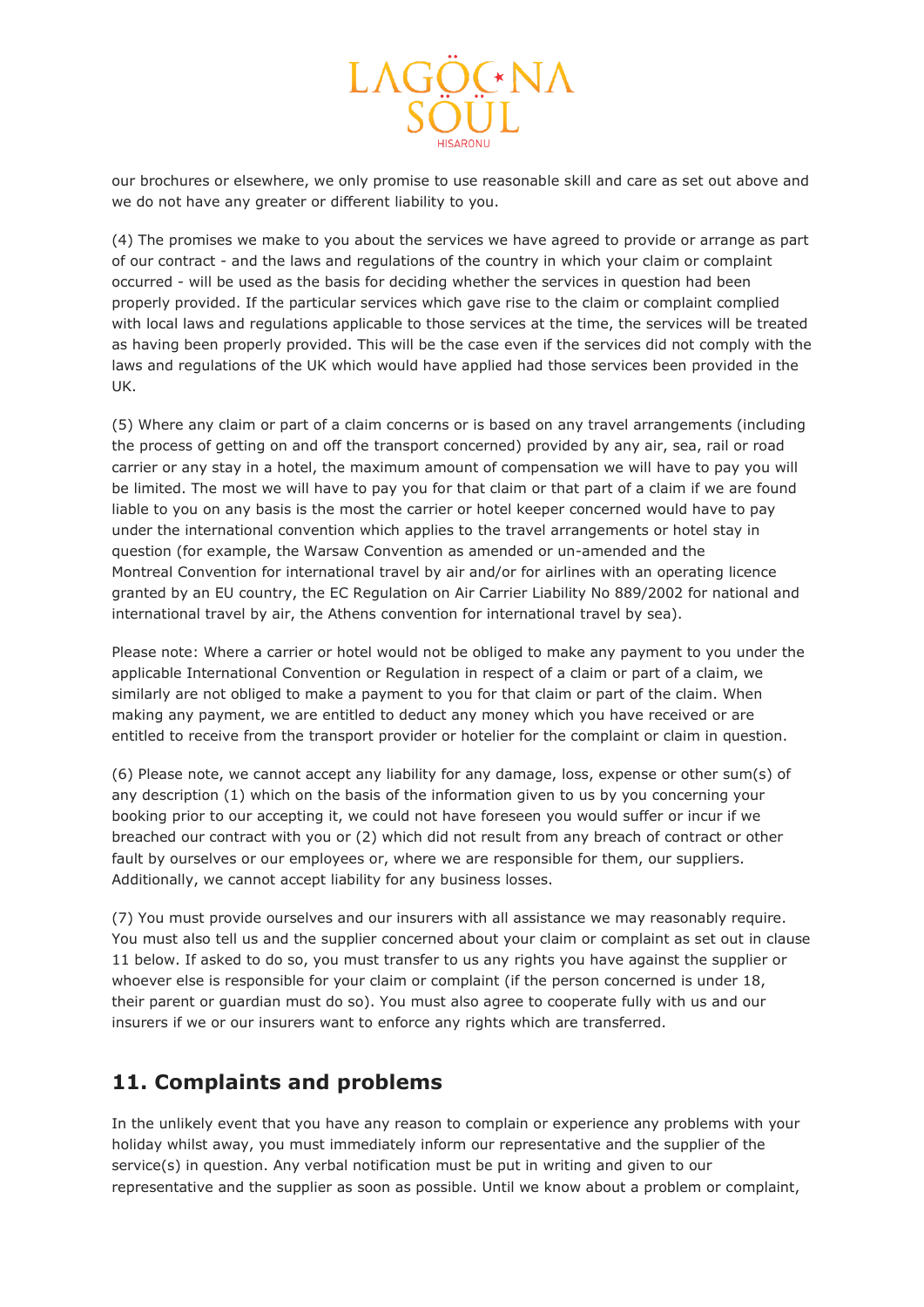

our brochures or elsewhere, we only promise to use reasonable skill and care as set out above and we do not have any greater or different liability to you.

(4) The promises we make to you about the services we have agreed to provide or arrange as part of our contract - and the laws and regulations of the country in which your claim or complaint occurred - will be used as the basis for deciding whether the services in question had been properly provided. If the particular services which gave rise to the claim or complaint complied with local laws and regulations applicable to those services at the time, the services will be treated as having been properly provided. This will be the case even if the services did not comply with the laws and regulations of the UK which would have applied had those services been provided in the UK.

(5) Where any claim or part of a claim concerns or is based on any travel arrangements (including the process of getting on and off the transport concerned) provided by any air, sea, rail or road carrier or any stay in a hotel, the maximum amount of compensation we will have to pay you will be limited. The most we will have to pay you for that claim or that part of a claim if we are found liable to you on any basis is the most the carrier or hotel keeper concerned would have to pay under the international convention which applies to the travel arrangements or hotel stay in question (for example, the Warsaw Convention as amended or un-amended and the Montreal Convention for international travel by air and/or for airlines with an operating licence granted by an EU country, the EC Regulation on Air Carrier Liability No 889/2002 for national and international travel by air, the Athens convention for international travel by sea).

Please note: Where a carrier or hotel would not be obliged to make any payment to you under the applicable International Convention or Regulation in respect of a claim or part of a claim, we similarly are not obliged to make a payment to you for that claim or part of the claim. When making any payment, we are entitled to deduct any money which you have received or are entitled to receive from the transport provider or hotelier for the complaint or claim in question.

(6) Please note, we cannot accept any liability for any damage, loss, expense or other sum(s) of any description (1) which on the basis of the information given to us by you concerning your booking prior to our accepting it, we could not have foreseen you would suffer or incur if we breached our contract with you or (2) which did not result from any breach of contract or other fault by ourselves or our employees or, where we are responsible for them, our suppliers. Additionally, we cannot accept liability for any business losses.

(7) You must provide ourselves and our insurers with all assistance we may reasonably require. You must also tell us and the supplier concerned about your claim or complaint as set out in clause 11 below. If asked to do so, you must transfer to us any rights you have against the supplier or whoever else is responsible for your claim or complaint (if the person concerned is under 18, their parent or guardian must do so). You must also agree to cooperate fully with us and our insurers if we or our insurers want to enforce any rights which are transferred.

### **11. Complaints and problems**

In the unlikely event that you have any reason to complain or experience any problems with your holiday whilst away, you must immediately inform our representative and the supplier of the service(s) in question. Any verbal notification must be put in writing and given to our representative and the supplier as soon as possible. Until we know about a problem or complaint,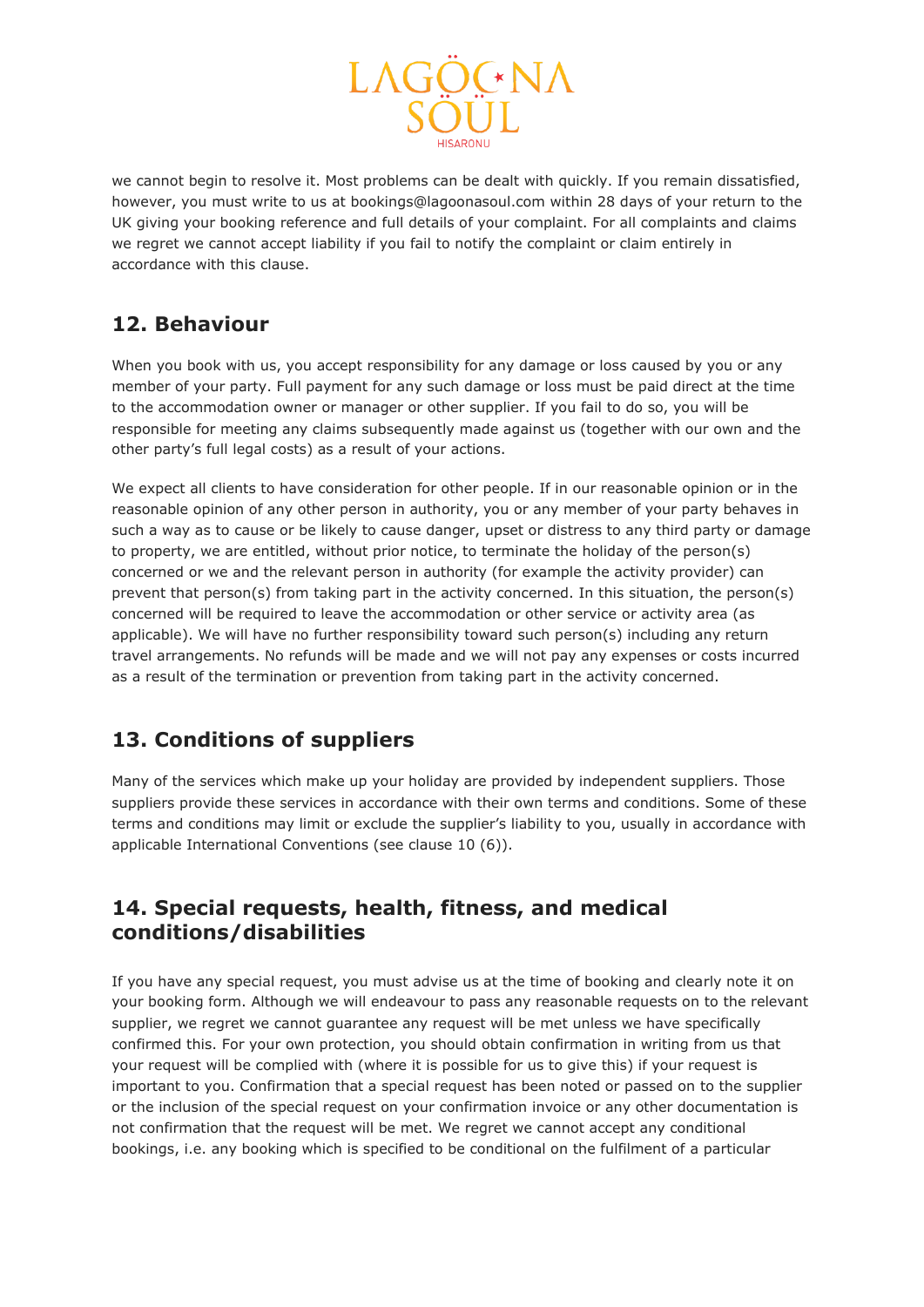

we cannot begin to resolve it. Most problems can be dealt with quickly. If you remain dissatisfied, however, you must write to us at bookings@lagoonasoul.com within 28 days of your return to the UK giving your booking reference and full details of your complaint. For all complaints and claims we regret we cannot accept liability if you fail to notify the complaint or claim entirely in accordance with this clause.

## **12. Behaviour**

When you book with us, you accept responsibility for any damage or loss caused by you or any member of your party. Full payment for any such damage or loss must be paid direct at the time to the accommodation owner or manager or other supplier. If you fail to do so, you will be responsible for meeting any claims subsequently made against us (together with our own and the other party's full legal costs) as a result of your actions.

We expect all clients to have consideration for other people. If in our reasonable opinion or in the reasonable opinion of any other person in authority, you or any member of your party behaves in such a way as to cause or be likely to cause danger, upset or distress to any third party or damage to property, we are entitled, without prior notice, to terminate the holiday of the person(s) concerned or we and the relevant person in authority (for example the activity provider) can prevent that person(s) from taking part in the activity concerned. In this situation, the person(s) concerned will be required to leave the accommodation or other service or activity area (as applicable). We will have no further responsibility toward such person(s) including any return travel arrangements. No refunds will be made and we will not pay any expenses or costs incurred as a result of the termination or prevention from taking part in the activity concerned.

## **13. Conditions of suppliers**

Many of the services which make up your holiday are provided by independent suppliers. Those suppliers provide these services in accordance with their own terms and conditions. Some of these terms and conditions may limit or exclude the supplier's liability to you, usually in accordance with applicable International Conventions (see clause 10 (6)).

### **14. Special requests, health, fitness, and medical conditions/disabilities**

If you have any special request, you must advise us at the time of booking and clearly note it on your booking form. Although we will endeavour to pass any reasonable requests on to the relevant supplier, we regret we cannot guarantee any request will be met unless we have specifically confirmed this. For your own protection, you should obtain confirmation in writing from us that your request will be complied with (where it is possible for us to give this) if your request is important to you. Confirmation that a special request has been noted or passed on to the supplier or the inclusion of the special request on your confirmation invoice or any other documentation is not confirmation that the request will be met. We regret we cannot accept any conditional bookings, i.e. any booking which is specified to be conditional on the fulfilment of a particular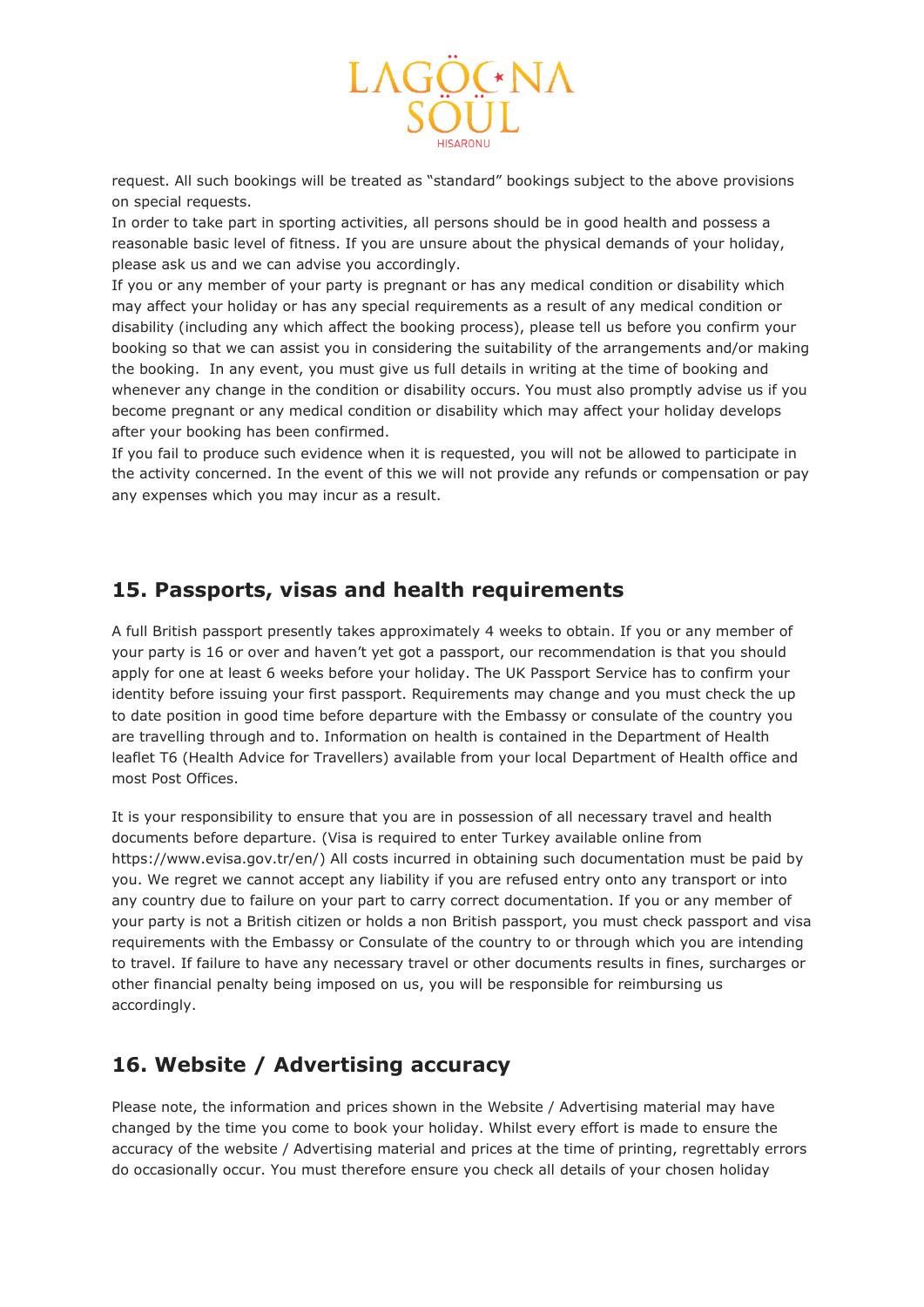

request. All such bookings will be treated as "standard" bookings subject to the above provisions on special requests.

In order to take part in sporting activities, all persons should be in good health and possess a reasonable basic level of fitness. If you are unsure about the physical demands of your holiday, please ask us and we can advise you accordingly.

If you or any member of your party is pregnant or has any medical condition or disability which may affect your holiday or has any special requirements as a result of any medical condition or disability (including any which affect the booking process), please tell us before you confirm your booking so that we can assist you in considering the suitability of the arrangements and/or making the booking. In any event, you must give us full details in writing at the time of booking and whenever any change in the condition or disability occurs. You must also promptly advise us if you become pregnant or any medical condition or disability which may affect your holiday develops after your booking has been confirmed.

If you fail to produce such evidence when it is requested, you will not be allowed to participate in the activity concerned. In the event of this we will not provide any refunds or compensation or pay any expenses which you may incur as a result.

### **15. Passports, visas and health requirements**

A full British passport presently takes approximately 4 weeks to obtain. If you or any member of your party is 16 or over and haven't yet got a passport, our recommendation is that you should apply for one at least 6 weeks before your holiday. The UK Passport Service has to confirm your identity before issuing your first passport. Requirements may change and you must check the up to date position in good time before departure with the Embassy or consulate of the country you are travelling through and to. Information on health is contained in the Department of Health leaflet T6 (Health Advice for Travellers) available from your local Department of Health office and most Post Offices.

It is your responsibility to ensure that you are in possession of all necessary travel and health documents before departure. (Visa is required to enter Turkey available online from https://www.evisa.gov.tr/en/) All costs incurred in obtaining such documentation must be paid by you. We regret we cannot accept any liability if you are refused entry onto any transport or into any country due to failure on your part to carry correct documentation. If you or any member of your party is not a British citizen or holds a non British passport, you must check passport and visa requirements with the Embassy or Consulate of the country to or through which you are intending to travel. If failure to have any necessary travel or other documents results in fines, surcharges or other financial penalty being imposed on us, you will be responsible for reimbursing us accordingly.

### **16. Website / Advertising accuracy**

Please note, the information and prices shown in the Website / Advertising material may have changed by the time you come to book your holiday. Whilst every effort is made to ensure the accuracy of the website / Advertising material and prices at the time of printing, regrettably errors do occasionally occur. You must therefore ensure you check all details of your chosen holiday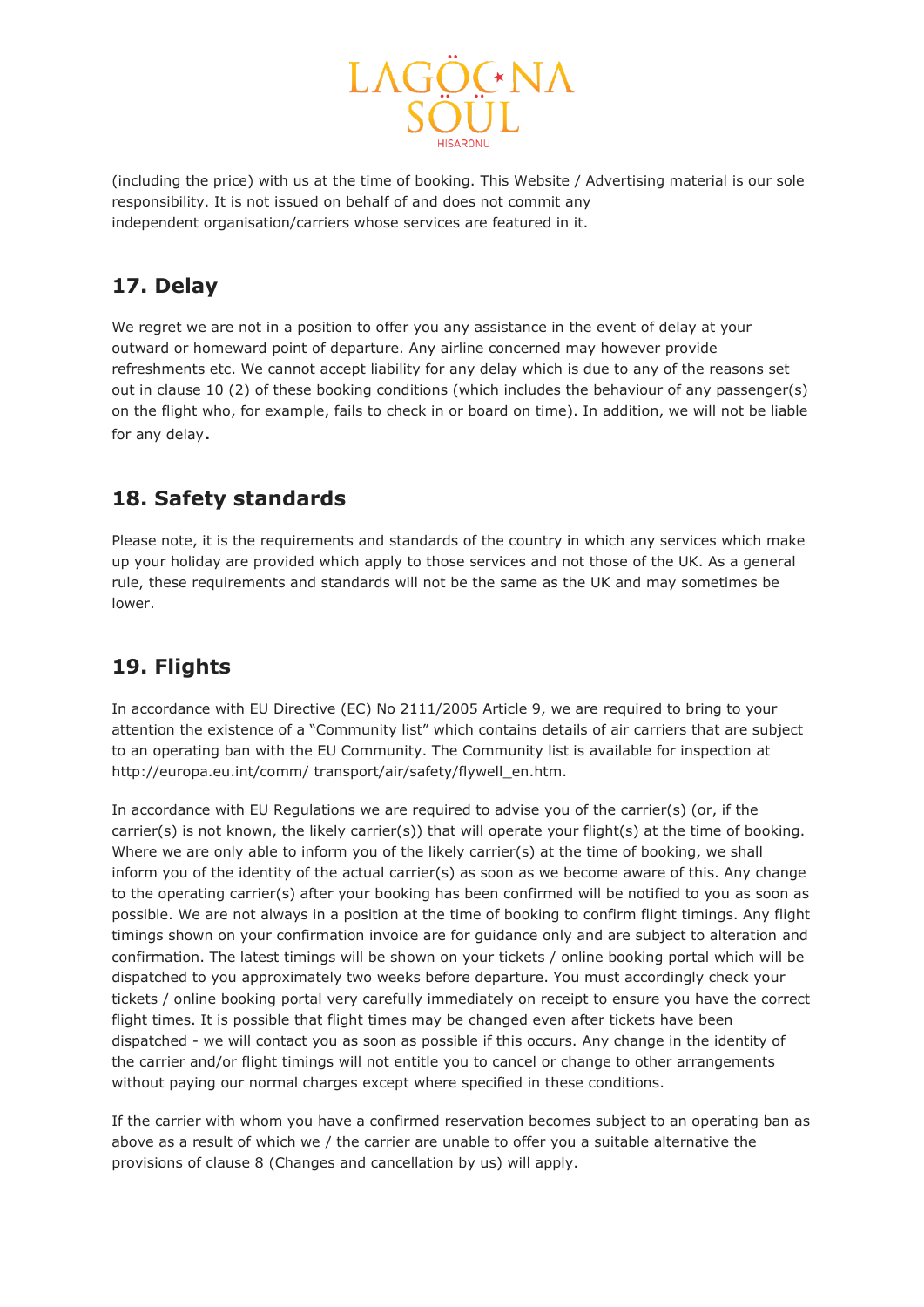

(including the price) with us at the time of booking. This Website / Advertising material is our sole responsibility. It is not issued on behalf of and does not commit any independent organisation/carriers whose services are featured in it.

### **17. Delay**

We regret we are not in a position to offer you any assistance in the event of delay at your outward or homeward point of departure. Any airline concerned may however provide refreshments etc. We cannot accept liability for any delay which is due to any of the reasons set out in clause 10 (2) of these booking conditions (which includes the behaviour of any passenger(s) on the flight who, for example, fails to check in or board on time). In addition, we will not be liable for any delay.

### **18. Safety standards**

Please note, it is the requirements and standards of the country in which any services which make up your holiday are provided which apply to those services and not those of the UK. As a general rule, these requirements and standards will not be the same as the UK and may sometimes be lower.

## **19. Flights**

In accordance with EU Directive (EC) No 2111/2005 Article 9, we are required to bring to your attention the existence of a "Community list" which contains details of air carriers that are subject to an operating ban with the EU Community. The Community list is available for inspection at http://europa.eu.int/comm/ transport/air/safety/flywell\_en.htm.

In accordance with EU Regulations we are required to advise you of the carrier(s) (or, if the carrier(s) is not known, the likely carrier(s)) that will operate your flight(s) at the time of booking. Where we are only able to inform you of the likely carrier(s) at the time of booking, we shall inform you of the identity of the actual carrier(s) as soon as we become aware of this. Any change to the operating carrier(s) after your booking has been confirmed will be notified to you as soon as possible. We are not always in a position at the time of booking to confirm flight timings. Any flight timings shown on your confirmation invoice are for guidance only and are subject to alteration and confirmation. The latest timings will be shown on your tickets / online booking portal which will be dispatched to you approximately two weeks before departure. You must accordingly check your tickets / online booking portal very carefully immediately on receipt to ensure you have the correct flight times. It is possible that flight times may be changed even after tickets have been dispatched - we will contact you as soon as possible if this occurs. Any change in the identity of the carrier and/or flight timings will not entitle you to cancel or change to other arrangements without paying our normal charges except where specified in these conditions.

If the carrier with whom you have a confirmed reservation becomes subject to an operating ban as above as a result of which we / the carrier are unable to offer you a suitable alternative the provisions of clause 8 (Changes and cancellation by us) will apply.